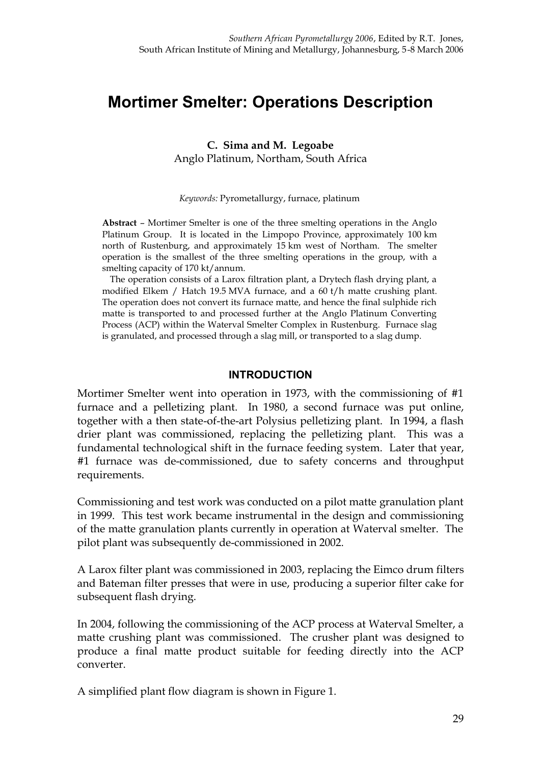# **Mortimer Smelter: Operations Description**

**C. Sima and M. Legoabe** Anglo Platinum, Northam, South Africa

*Keywords:* Pyrometallurgy, furnace, platinum

**Abstract** – Mortimer Smelter is one of the three smelting operations in the Anglo Platinum Group. It is located in the Limpopo Province, approximately 100 km north of Rustenburg, and approximately 15 km west of Northam. The smelter operation is the smallest of the three smelting operations in the group, with a smelting capacity of 170 kt/annum.

The operation consists of a Larox filtration plant, a Drytech flash drying plant, a modified Elkem / Hatch 19.5 MVA furnace, and a 60 t/h matte crushing plant. The operation does not convert its furnace matte, and hence the final sulphide rich matte is transported to and processed further at the Anglo Platinum Converting Process (ACP) within the Waterval Smelter Complex in Rustenburg. Furnace slag is granulated, and processed through a slag mill, or transported to a slag dump.

#### **INTRODUCTION**

Mortimer Smelter went into operation in 1973, with the commissioning of #1 furnace and a pelletizing plant. In 1980, a second furnace was put online, together with a then state-of-the-art Polysius pelletizing plant. In 1994, a flash drier plant was commissioned, replacing the pelletizing plant. This was a fundamental technological shift in the furnace feeding system. Later that year, #1 furnace was de-commissioned, due to safety concerns and throughput requirements.

Commissioning and test work was conducted on a pilot matte granulation plant in 1999. This test work became instrumental in the design and commissioning of the matte granulation plants currently in operation at Waterval smelter. The pilot plant was subsequently de-commissioned in 2002.

A Larox filter plant was commissioned in 2003, replacing the Eimco drum filters and Bateman filter presses that were in use, producing a superior filter cake for subsequent flash drying.

In 2004, following the commissioning of the ACP process at Waterval Smelter, a matte crushing plant was commissioned. The crusher plant was designed to produce a final matte product suitable for feeding directly into the ACP converter.

A simplified plant flow diagram is shown in Figure 1.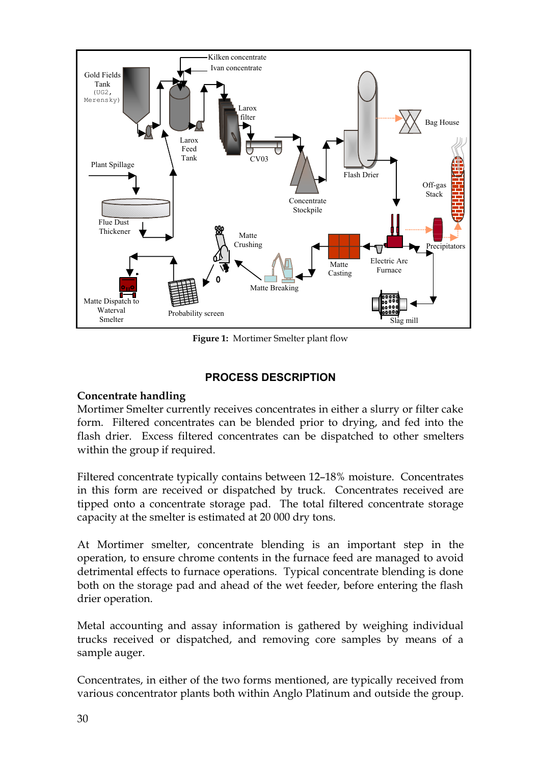

**Figure 1:** Mortimer Smelter plant flow

#### **PROCESS DESCRIPTION**

#### **Concentrate handling**

Mortimer Smelter currently receives concentrates in either a slurry or filter cake form. Filtered concentrates can be blended prior to drying, and fed into the flash drier. Excess filtered concentrates can be dispatched to other smelters within the group if required.

Filtered concentrate typically contains between 12–18% moisture. Concentrates in this form are received or dispatched by truck. Concentrates received are tipped onto a concentrate storage pad. The total filtered concentrate storage capacity at the smelter is estimated at 20 000 dry tons.

At Mortimer smelter, concentrate blending is an important step in the operation, to ensure chrome contents in the furnace feed are managed to avoid detrimental effects to furnace operations. Typical concentrate blending is done both on the storage pad and ahead of the wet feeder, before entering the flash drier operation.

Metal accounting and assay information is gathered by weighing individual trucks received or dispatched, and removing core samples by means of a sample auger.

Concentrates, in either of the two forms mentioned, are typically received from various concentrator plants both within Anglo Platinum and outside the group.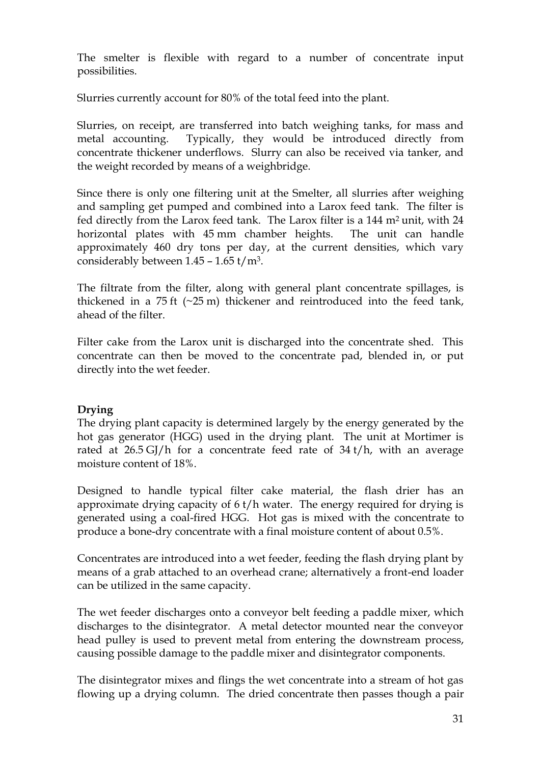The smelter is flexible with regard to a number of concentrate input possibilities.

Slurries currently account for 80% of the total feed into the plant.

Slurries, on receipt, are transferred into batch weighing tanks, for mass and metal accounting. Typically, they would be introduced directly from concentrate thickener underflows. Slurry can also be received via tanker, and the weight recorded by means of a weighbridge.

Since there is only one filtering unit at the Smelter, all slurries after weighing and sampling get pumped and combined into a Larox feed tank. The filter is fed directly from the Larox feed tank. The Larox filter is a 144 m2 unit, with 24 horizontal plates with 45 mm chamber heights. The unit can handle approximately 460 dry tons per day, at the current densities, which vary considerably between  $1.45 - 1.65$  t/m<sup>3</sup>.

The filtrate from the filter, along with general plant concentrate spillages, is thickened in a  $75$  ft  $(\sim 25 \text{ m})$  thickener and reintroduced into the feed tank, ahead of the filter.

Filter cake from the Larox unit is discharged into the concentrate shed. This concentrate can then be moved to the concentrate pad, blended in, or put directly into the wet feeder.

# **Drying**

The drying plant capacity is determined largely by the energy generated by the hot gas generator (HGG) used in the drying plant. The unit at Mortimer is rated at  $26.5$  GJ/h for a concentrate feed rate of  $34$  t/h, with an average moisture content of 18%.

Designed to handle typical filter cake material, the flash drier has an approximate drying capacity of 6 t/h water. The energy required for drying is generated using a coal-fired HGG. Hot gas is mixed with the concentrate to produce a bone-dry concentrate with a final moisture content of about 0.5%.

Concentrates are introduced into a wet feeder, feeding the flash drying plant by means of a grab attached to an overhead crane; alternatively a front-end loader can be utilized in the same capacity.

The wet feeder discharges onto a conveyor belt feeding a paddle mixer, which discharges to the disintegrator. A metal detector mounted near the conveyor head pulley is used to prevent metal from entering the downstream process, causing possible damage to the paddle mixer and disintegrator components.

The disintegrator mixes and flings the wet concentrate into a stream of hot gas flowing up a drying column. The dried concentrate then passes though a pair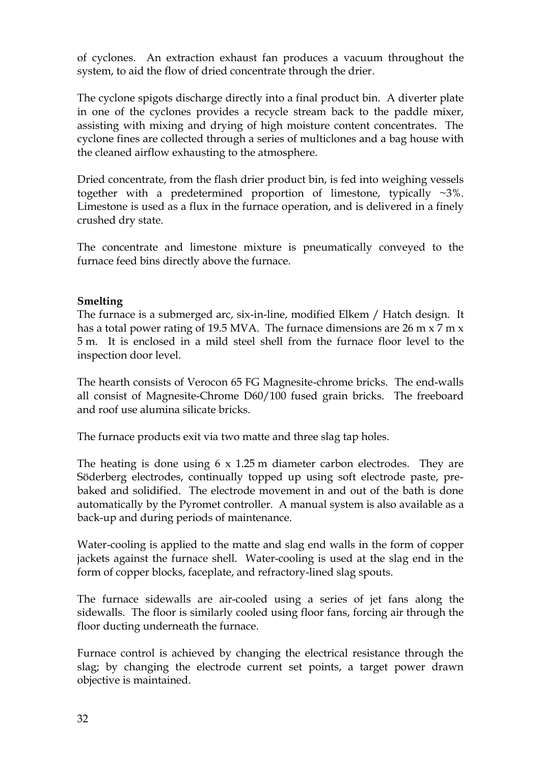of cyclones. An extraction exhaust fan produces a vacuum throughout the system, to aid the flow of dried concentrate through the drier.

The cyclone spigots discharge directly into a final product bin. A diverter plate in one of the cyclones provides a recycle stream back to the paddle mixer, assisting with mixing and drying of high moisture content concentrates. The cyclone fines are collected through a series of multiclones and a bag house with the cleaned airflow exhausting to the atmosphere.

Dried concentrate, from the flash drier product bin, is fed into weighing vessels together with a predetermined proportion of limestone, typically ~3%. Limestone is used as a flux in the furnace operation, and is delivered in a finely crushed dry state.

The concentrate and limestone mixture is pneumatically conveyed to the furnace feed bins directly above the furnace.

# **Smelting**

The furnace is a submerged arc, six-in-line, modified Elkem / Hatch design. It has a total power rating of 19.5 MVA. The furnace dimensions are 26 m  $\times$  7 m  $\times$ 5 m. It is enclosed in a mild steel shell from the furnace floor level to the inspection door level.

The hearth consists of Verocon 65 FG Magnesite-chrome bricks. The end-walls all consist of Magnesite-Chrome D60/100 fused grain bricks. The freeboard and roof use alumina silicate bricks.

The furnace products exit via two matte and three slag tap holes.

The heating is done using 6 x 1.25 m diameter carbon electrodes. They are Söderberg electrodes, continually topped up using soft electrode paste, prebaked and solidified. The electrode movement in and out of the bath is done automatically by the Pyromet controller. A manual system is also available as a back-up and during periods of maintenance.

Water-cooling is applied to the matte and slag end walls in the form of copper jackets against the furnace shell. Water-cooling is used at the slag end in the form of copper blocks, faceplate, and refractory-lined slag spouts.

The furnace sidewalls are air-cooled using a series of jet fans along the sidewalls. The floor is similarly cooled using floor fans, forcing air through the floor ducting underneath the furnace.

Furnace control is achieved by changing the electrical resistance through the slag; by changing the electrode current set points, a target power drawn objective is maintained.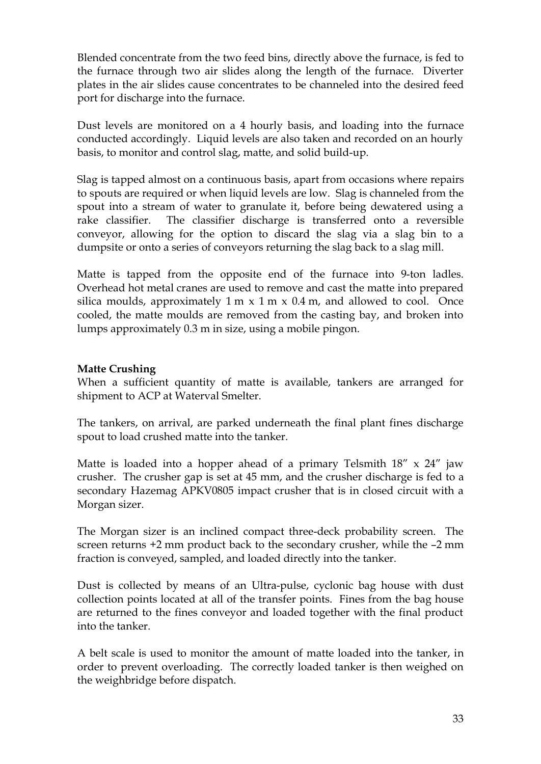Blended concentrate from the two feed bins, directly above the furnace, is fed to the furnace through two air slides along the length of the furnace. Diverter plates in the air slides cause concentrates to be channeled into the desired feed port for discharge into the furnace.

Dust levels are monitored on a 4 hourly basis, and loading into the furnace conducted accordingly. Liquid levels are also taken and recorded on an hourly basis, to monitor and control slag, matte, and solid build-up.

Slag is tapped almost on a continuous basis, apart from occasions where repairs to spouts are required or when liquid levels are low. Slag is channeled from the spout into a stream of water to granulate it, before being dewatered using a rake classifier. The classifier discharge is transferred onto a reversible conveyor, allowing for the option to discard the slag via a slag bin to a dumpsite or onto a series of conveyors returning the slag back to a slag mill.

Matte is tapped from the opposite end of the furnace into 9-ton ladles. Overhead hot metal cranes are used to remove and cast the matte into prepared silica moulds, approximately  $1 \text{ m} \times 1 \text{ m} \times 0.4 \text{ m}$ , and allowed to cool. Once cooled, the matte moulds are removed from the casting bay, and broken into lumps approximately 0.3 m in size, using a mobile pingon.

# **Matte Crushing**

When a sufficient quantity of matte is available, tankers are arranged for shipment to ACP at Waterval Smelter.

The tankers, on arrival, are parked underneath the final plant fines discharge spout to load crushed matte into the tanker.

Matte is loaded into a hopper ahead of a primary Telsmith  $18'' \times 24''$  jaw crusher. The crusher gap is set at 45 mm, and the crusher discharge is fed to a secondary Hazemag APKV0805 impact crusher that is in closed circuit with a Morgan sizer.

The Morgan sizer is an inclined compact three-deck probability screen. The screen returns +2 mm product back to the secondary crusher, while the –2 mm fraction is conveyed, sampled, and loaded directly into the tanker.

Dust is collected by means of an Ultra-pulse, cyclonic bag house with dust collection points located at all of the transfer points. Fines from the bag house are returned to the fines conveyor and loaded together with the final product into the tanker.

A belt scale is used to monitor the amount of matte loaded into the tanker, in order to prevent overloading. The correctly loaded tanker is then weighed on the weighbridge before dispatch.